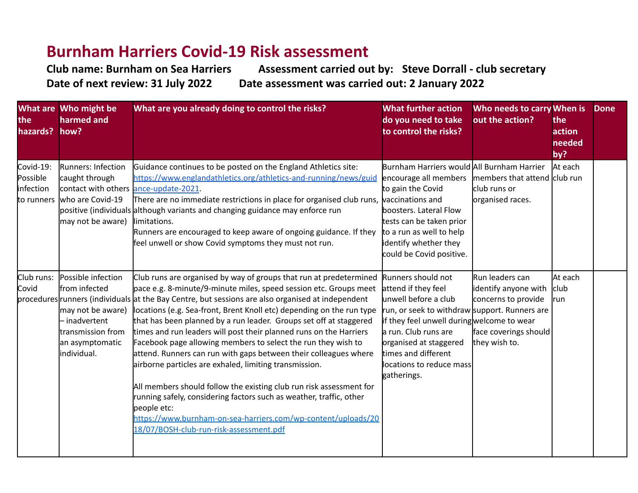## **Burnham Harriers Covid-19 Risk assessment**

**Club name: Burnham on Sea Harriers Assessment carried out by: Steve Dorrall - club secretary Date of next review: 31 July 2022 Date assessment was carried out: 2 January 2022** 

| the<br>hazards?                    | What are Who might be<br>harmed and<br>how?                                                                                       | What are you already doing to control the risks?                                                                                                                                                                                                                                                                                                                                                                                                                                                                                                                                                                                                                                                                                                                                                                                                                                                                                          | <b>What further action</b><br>do you need to take<br>to control the risks?                                                                                                                                                                                                           | Who needs to carry When is<br>out the action?                                                            | the<br>action<br>needed<br>by? | <b>Done</b> |
|------------------------------------|-----------------------------------------------------------------------------------------------------------------------------------|-------------------------------------------------------------------------------------------------------------------------------------------------------------------------------------------------------------------------------------------------------------------------------------------------------------------------------------------------------------------------------------------------------------------------------------------------------------------------------------------------------------------------------------------------------------------------------------------------------------------------------------------------------------------------------------------------------------------------------------------------------------------------------------------------------------------------------------------------------------------------------------------------------------------------------------------|--------------------------------------------------------------------------------------------------------------------------------------------------------------------------------------------------------------------------------------------------------------------------------------|----------------------------------------------------------------------------------------------------------|--------------------------------|-------------|
| Covid-19:<br>Possible<br>infection | Runners: Infection<br>caught through<br>contact with others ance-update-2021.<br>to runners who are Covid-19<br>may not be aware) | Guidance continues to be posted on the England Athletics site:<br>https://www.englandathletics.org/athletics-and-running/news/guid<br>There are no immediate restrictions in place for organised club runs, vaccinations and<br>positive (individuals although variants and changing guidance may enforce run<br>limitations.<br>Runners are encouraged to keep aware of ongoing guidance. If they<br>feel unwell or show Covid symptoms they must not run.                                                                                                                                                                                                                                                                                                                                                                                                                                                                               | Burnham Harriers would All Burnham Harrier<br>encourage all members<br>to gain the Covid<br>boosters. Lateral Flow<br>tests can be taken prior<br>to a run as well to help<br>identify whether they<br>could be Covid positive.                                                      | members that attend club run<br>club runs or<br>organised races.                                         | At each                        |             |
| Club runs:<br>Covid                | Possible infection<br>from infected<br>may not be aware)<br>- inadvertent<br>transmission from<br>an asymptomatic<br>individual.  | Club runs are organised by way of groups that run at predetermined<br>pace e.g. 8-minute/9-minute miles, speed session etc. Groups meet<br>procedures runners (individuals at the Bay Centre, but sessions are also organised at independent<br>locations (e.g. Sea-front, Brent Knoll etc) depending on the run type<br>that has been planned by a run leader. Groups set off at staggered<br>times and run leaders will post their planned runs on the Harriers<br>Facebook page allowing members to select the run they wish to<br>attend. Runners can run with gaps between their colleagues where<br>airborne particles are exhaled, limiting transmission.<br>All members should follow the existing club run risk assessment for<br>running safely, considering factors such as weather, traffic, other<br>people etc:<br>https://www.burnham-on-sea-harriers.com/wp-content/uploads/20<br>18/07/BOSH-club-run-risk-assessment.pdf | Runners should not<br>attend if they feel<br>unwell before a club<br>run, or seek to withdraw support. Runners are<br>if they feel unwell during welcome to wear<br>a run. Club runs are<br>organised at staggered<br>times and different<br>locations to reduce mass<br>gatherings. | Run leaders can<br>identify anyone with<br>concerns to provide<br>face coverings should<br>they wish to. | At each<br>club<br><b>run</b>  |             |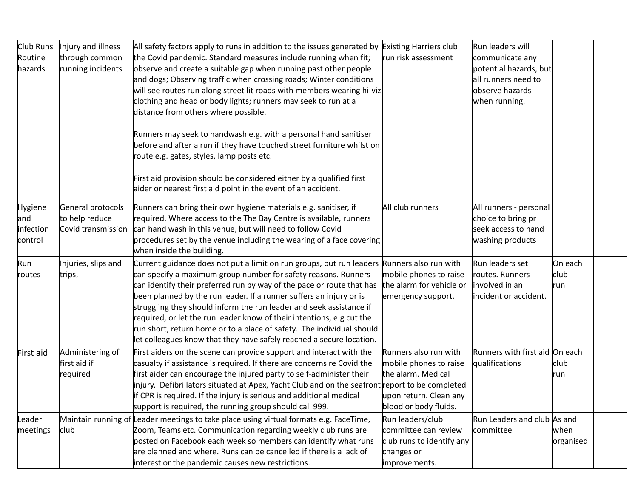| Club Runs<br>Routine<br>hazards               | Injury and illness<br>through common<br>running incidents | All safety factors apply to runs in addition to the issues generated by Existing Harriers club<br>the Covid pandemic. Standard measures include running when fit;<br>observe and create a suitable gap when running past other people<br>and dogs; Observing traffic when crossing roads; Winter conditions<br>will see routes run along street lit roads with members wearing hi-viz<br>clothing and head or body lights; runners may seek to run at a<br>distance from others where possible.<br>Runners may seek to handwash e.g. with a personal hand sanitiser<br>before and after a run if they have touched street furniture whilst on<br>route e.g. gates, styles, lamp posts etc.<br>First aid provision should be considered either by a qualified first<br>aider or nearest first aid point in the event of an accident. | run risk assessment                                                                                                      | Run leaders will<br>communicate any<br>potential hazards, but<br>all runners need to<br>observe hazards<br>when running. |                        |  |
|-----------------------------------------------|-----------------------------------------------------------|-------------------------------------------------------------------------------------------------------------------------------------------------------------------------------------------------------------------------------------------------------------------------------------------------------------------------------------------------------------------------------------------------------------------------------------------------------------------------------------------------------------------------------------------------------------------------------------------------------------------------------------------------------------------------------------------------------------------------------------------------------------------------------------------------------------------------------------|--------------------------------------------------------------------------------------------------------------------------|--------------------------------------------------------------------------------------------------------------------------|------------------------|--|
| <b>Hygiene</b><br>and<br>infection<br>control | General protocols<br>to help reduce<br>Covid transmission | Runners can bring their own hygiene materials e.g. sanitiser, if<br>required. Where access to the The Bay Centre is available, runners<br>can hand wash in this venue, but will need to follow Covid<br>procedures set by the venue including the wearing of a face covering<br>when inside the building.                                                                                                                                                                                                                                                                                                                                                                                                                                                                                                                           | All club runners                                                                                                         | All runners - personal<br>choice to bring pr<br>seek access to hand<br>washing products                                  |                        |  |
| Run<br>routes                                 | Injuries, slips and<br>trips,                             | Current guidance does not put a limit on run groups, but run leaders Runners also run with<br>can specify a maximum group number for safety reasons. Runners<br>can identify their preferred run by way of the pace or route that has<br>been planned by the run leader. If a runner suffers an injury or is<br>struggling they should inform the run leader and seek assistance if<br>required, or let the run leader know of their intentions, e.g cut the<br>run short, return home or to a place of safety. The individual should<br>let colleagues know that they have safely reached a secure location.                                                                                                                                                                                                                       | mobile phones to raise<br>the alarm for vehicle or<br>emergency support.                                                 | Run leaders set<br>routes. Runners<br>involved in an<br>incident or accident.                                            | On each<br>club<br>run |  |
| First aid                                     | Administering of<br>first aid if<br>required              | First aiders on the scene can provide support and interact with the<br>casualty if assistance is required. If there are concerns re Covid the<br>first aider can encourage the injured party to self-administer their<br>injury. Defibrillators situated at Apex, Yacht Club and on the seafront report to be completed<br>if CPR is required. If the injury is serious and additional medical<br>support is required, the running group should call 999.                                                                                                                                                                                                                                                                                                                                                                           | Runners also run with<br>mobile phones to raise<br>the alarm. Medical<br>upon return. Clean any<br>blood or body fluids. | Runners with first aid On each<br>qualifications                                                                         | club<br>run            |  |
| Leader<br>meetings                            | club.                                                     | Maintain running of Leader meetings to take place using virtual formats e.g. FaceTime,<br>Zoom, Teams etc. Communication regarding weekly club runs are<br>posted on Facebook each week so members can identify what runs<br>are planned and where. Runs can be cancelled if there is a lack of<br>interest or the pandemic causes new restrictions.                                                                                                                                                                                                                                                                                                                                                                                                                                                                                | Run leaders/club<br>committee can review<br>club runs to identify any<br>changes or<br>improvements.                     | Run Leaders and club As and<br>committee                                                                                 | lwhen<br>organised     |  |